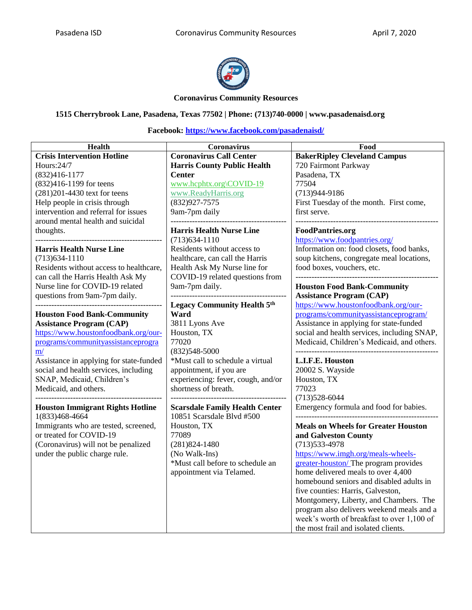

#### **Coronavirus Community Resources**

### **1515 Cherrybrook Lane, Pasadena, Texas 77502 | Phone: (713)740-0000 | www.pasadenaisd.org**

| Health                                  | Coronavirus                           | Food                                        |
|-----------------------------------------|---------------------------------------|---------------------------------------------|
| <b>Crisis Intervention Hotline</b>      | <b>Coronavirus Call Center</b>        | <b>BakerRipley Cleveland Campus</b>         |
| Hours:24/7                              | <b>Harris County Public Health</b>    | 720 Fairmont Parkway                        |
| $(832)416 - 1177$                       | <b>Center</b>                         | Pasadena, TX                                |
| (832)416-1199 for teens                 | www.hcphtx.org\COVID-19               | 77504                                       |
| $(281)201 - 4430$ text for teens        | www.ReadyHarris.org                   | $(713)944-9186$                             |
| Help people in crisis through           | $(832)927 - 7575$                     | First Tuesday of the month. First come,     |
| intervention and referral for issues    | 9am-7pm daily                         | first serve.                                |
| around mental health and suicidal       |                                       |                                             |
| thoughts.                               | <b>Harris Health Nurse Line</b>       | <b>FoodPantries.org</b>                     |
| ------                                  | $(713)634-1110$                       | https://www.foodpantries.org/               |
| <b>Harris Health Nurse Line</b>         | Residents without access to           | Information on: food closets, food banks,   |
| $(713)634-1110$                         | healthcare, can call the Harris       | soup kitchens, congregate meal locations,   |
| Residents without access to healthcare, | Health Ask My Nurse line for          | food boxes, vouchers, etc.                  |
| can call the Harris Health Ask My       | COVID-19 related questions from       |                                             |
| Nurse line for COVID-19 related         | 9am-7pm daily.                        | <b>Houston Food Bank-Community</b>          |
| questions from 9am-7pm daily.           | ------------------                    | <b>Assistance Program (CAP)</b>             |
|                                         | <b>Legacy Community Health 5th</b>    | https://www.houstonfoodbank.org/our-        |
| <b>Houston Food Bank-Community</b>      | Ward                                  | programs/communityassistanceprogram/        |
| <b>Assistance Program (CAP)</b>         | 3811 Lyons Ave                        | Assistance in applying for state-funded     |
| https://www.houstonfoodbank.org/our-    | Houston, TX                           | social and health services, including SNAP, |
| programs/communityassistanceprogra      | 77020                                 | Medicaid, Children's Medicaid, and others.  |
| m/                                      | $(832)548 - 5000$                     |                                             |
| Assistance in applying for state-funded | *Must call to schedule a virtual      | L.I.F.E. Houston                            |
| social and health services, including   | appointment, if you are               | 20002 S. Wayside                            |
| SNAP, Medicaid, Children's              | experiencing: fever, cough, and/or    | Houston, TX                                 |
| Medicaid, and others.                   | shortness of breath.                  | 77023                                       |
|                                         |                                       | $(713)528-6044$                             |
| <b>Houston Immigrant Rights Hotline</b> | <b>Scarsdale Family Health Center</b> | Emergency formula and food for babies.      |
| 1(833)468-4664                          | 10851 Scarsdale Blvd #500             |                                             |
| Immigrants who are tested, screened,    | Houston, TX                           | <b>Meals on Wheels for Greater Houston</b>  |
| or treated for COVID-19                 | 77089                                 | and Galveston County                        |
| (Coronavirus) will not be penalized     | $(281)824 - 1480$                     | $(713)533-4978$                             |
| under the public charge rule.           | (No Walk-Ins)                         | https://www.imgh.org/meals-wheels-          |
|                                         | *Must call before to schedule an      | greater-houston/The program provides        |
|                                         | appointment via Telamed.              | home delivered meals to over 4,400          |
|                                         |                                       | homebound seniors and disabled adults in    |
|                                         |                                       | five counties: Harris, Galveston,           |
|                                         |                                       | Montgomery, Liberty, and Chambers. The      |
|                                         |                                       | program also delivers weekend meals and a   |
|                                         |                                       | week's worth of breakfast to over 1,100 of  |
|                                         |                                       | the most frail and isolated clients.        |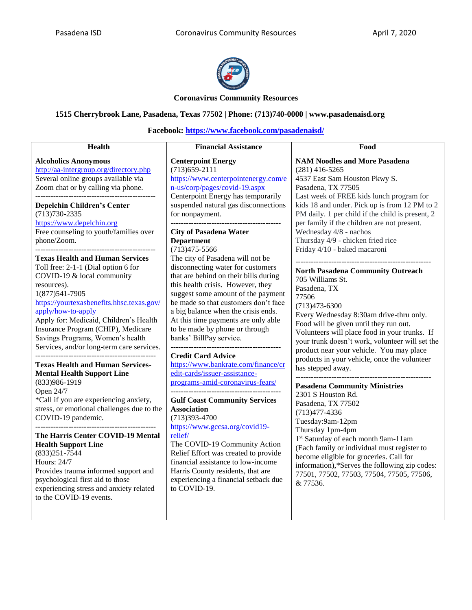

### **Coronavirus Community Resources**

### **1515 Cherrybrook Lane, Pasadena, Texas 77502 | Phone: (713)740-0000 | www.pasadenaisd.org**

| <b>Health</b>                                                                                                                                                                                                                                                                                                                                                                                                                                                                                                                                                                                                                                                                                                                                                                                                                                                                                                                                                                                                                                                                                                                                                                                                    | <b>Financial Assistance</b>                                                                                                                                                                                                                                                                                                                                                                                                                                                                                                                                                                                                                                                                                                                                                                                                                                                                                                                                                                                                                                                                                                                                                                        | Food                                                                                                                                                                                                                                                                                                                                                                                                                                                                                                                                                                                                                                                                                                                                                                                                                                                                                                                                                                                                                                                                                                                                                                                                                               |
|------------------------------------------------------------------------------------------------------------------------------------------------------------------------------------------------------------------------------------------------------------------------------------------------------------------------------------------------------------------------------------------------------------------------------------------------------------------------------------------------------------------------------------------------------------------------------------------------------------------------------------------------------------------------------------------------------------------------------------------------------------------------------------------------------------------------------------------------------------------------------------------------------------------------------------------------------------------------------------------------------------------------------------------------------------------------------------------------------------------------------------------------------------------------------------------------------------------|----------------------------------------------------------------------------------------------------------------------------------------------------------------------------------------------------------------------------------------------------------------------------------------------------------------------------------------------------------------------------------------------------------------------------------------------------------------------------------------------------------------------------------------------------------------------------------------------------------------------------------------------------------------------------------------------------------------------------------------------------------------------------------------------------------------------------------------------------------------------------------------------------------------------------------------------------------------------------------------------------------------------------------------------------------------------------------------------------------------------------------------------------------------------------------------------------|------------------------------------------------------------------------------------------------------------------------------------------------------------------------------------------------------------------------------------------------------------------------------------------------------------------------------------------------------------------------------------------------------------------------------------------------------------------------------------------------------------------------------------------------------------------------------------------------------------------------------------------------------------------------------------------------------------------------------------------------------------------------------------------------------------------------------------------------------------------------------------------------------------------------------------------------------------------------------------------------------------------------------------------------------------------------------------------------------------------------------------------------------------------------------------------------------------------------------------|
| <b>Alcoholics Anonymous</b><br>http://aa-intergroup.org/directory.php<br>Several online groups available via<br>Zoom chat or by calling via phone.<br><b>Depelchin Children's Center</b><br>$(713)730 - 2335$<br>https://www.depelchin.org<br>Free counseling to youth/families over<br>phone/Zoom.<br>------------------------------<br><b>Texas Health and Human Services</b><br>Toll free: 2-1-1 (Dial option 6 for<br>COVID-19 & local community<br>resources).<br>1(877) 541-7905<br>https://yourtexasbenefits.hhsc.texas.gov/<br>apply/how-to-apply<br>Apply for: Medicaid, Children's Health<br>Insurance Program (CHIP), Medicare<br>Savings Programs, Women's health<br>Services, and/or long-term care services.<br><b>Texas Health and Human Services-</b><br><b>Mental Health Support Line</b><br>(833) 986-1919<br>Open 24/7<br>*Call if you are experiencing anxiety,<br>stress, or emotional challenges due to the<br>COVID-19 pandemic.<br>The Harris Center COVID-19 Mental<br><b>Health Support Line</b><br>$(833)251 - 7544$<br>Hours: 24/7<br>Provides trauma informed support and<br>psychological first aid to those<br>experiencing stress and anxiety related<br>to the COVID-19 events. | <b>Centerpoint Energy</b><br>$(713)$ 659-2111<br>https://www.centerpointenergy.com/e<br>n-us/corp/pages/covid-19.aspx<br>Centerpoint Energy has temporarily<br>suspended natural gas disconnections<br>for nonpayment.<br><b>City of Pasadena Water</b><br><b>Department</b><br>$(713)475 - 5566$<br>The city of Pasadena will not be<br>disconnecting water for customers<br>that are behind on their bills during<br>this health crisis. However, they<br>suggest some amount of the payment<br>be made so that customers don't face<br>a big balance when the crisis ends.<br>At this time payments are only able<br>to be made by phone or through<br>banks' BillPay service.<br>________________________<br><b>Credit Card Advice</b><br>https://www.bankrate.com/finance/cr<br>edit-cards/issuer-assistance-<br>programs-amid-coronavirus-fears/<br><b>Gulf Coast Community Services</b><br><b>Association</b><br>$(713)393 - 4700$<br>https://www.gccsa.org/covid19-<br>relief/<br>The COVID-19 Community Action<br>Relief Effort was created to provide<br>financial assistance to low-income<br>Harris County residents, that are<br>experiencing a financial setback due<br>to COVID-19. | <b>NAM Noodles and More Pasadena</b><br>$(281)$ 416-5265<br>4537 East Sam Houston Pkwy S.<br>Pasadena, TX 77505<br>Last week of FREE kids lunch program for<br>kids 18 and under. Pick up is from 12 PM to 2<br>PM daily. 1 per child if the child is present, 2<br>per family if the children are not present.<br>Wednesday 4/8 - nachos<br>Thursday 4/9 - chicken fried rice<br>Friday 4/10 - baked macaroni<br><b>North Pasadena Community Outreach</b><br>705 Williams St.<br>Pasadena, TX<br>77506<br>$(713)473 - 6300$<br>Every Wednesday 8:30am drive-thru only.<br>Food will be given until they run out.<br>Volunteers will place food in your trunks. If<br>your trunk doesn't work, volunteer will set the<br>product near your vehicle. You may place<br>products in your vehicle, once the volunteer<br>has stepped away.<br><b>Pasadena Community Ministries</b><br>2301 S Houston Rd.<br>Pasadena, TX 77502<br>$(713)477 - 4336$<br>Tuesday:9am-12pm<br>Thursday 1pm-4pm<br>1st Saturday of each month 9am-11am<br>(Each family or individual must register to<br>become eligible for groceries. Call for<br>information),*Serves the following zip codes:<br>77501, 77502, 77503, 77504, 77505, 77506,<br>& 77536. |
|                                                                                                                                                                                                                                                                                                                                                                                                                                                                                                                                                                                                                                                                                                                                                                                                                                                                                                                                                                                                                                                                                                                                                                                                                  |                                                                                                                                                                                                                                                                                                                                                                                                                                                                                                                                                                                                                                                                                                                                                                                                                                                                                                                                                                                                                                                                                                                                                                                                    |                                                                                                                                                                                                                                                                                                                                                                                                                                                                                                                                                                                                                                                                                                                                                                                                                                                                                                                                                                                                                                                                                                                                                                                                                                    |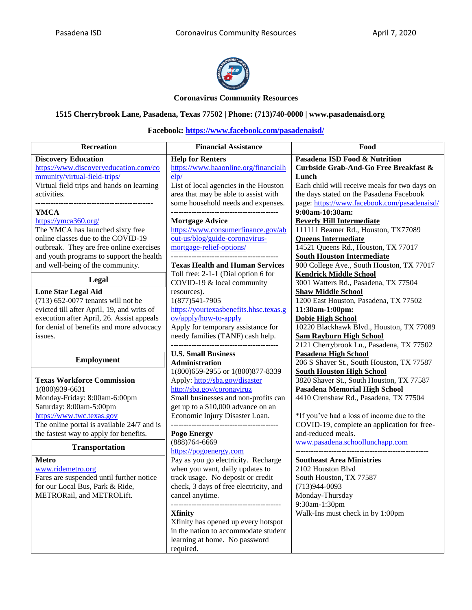

#### **Coronavirus Community Resources**

## **1515 Cherrybrook Lane, Pasadena, Texas 77502 | Phone: (713)740-0000 | www.pasadenaisd.org**

| Recreation                                                                           | <b>Financial Assistance</b>                                     | Food                                                                   |
|--------------------------------------------------------------------------------------|-----------------------------------------------------------------|------------------------------------------------------------------------|
|                                                                                      |                                                                 |                                                                        |
| <b>Discovery Education</b><br>https://www.discoveryeducation.com/co                  | <b>Help for Renters</b><br>https://www.haaonline.org/financialh | Pasadena ISD Food & Nutrition<br>Curbside Grab-And-Go Free Breakfast & |
| mmunity/virtual-field-trips/                                                         | elp/                                                            | Lunch                                                                  |
| Virtual field trips and hands on learning                                            | List of local agencies in the Houston                           | Each child will receive meals for two days on                          |
| activities.                                                                          | area that may be able to assist with                            | the days stated on the Pasadena Facebook                               |
|                                                                                      | some household needs and expenses.                              | page: https://www.facebook.com/pasadenaisd/                            |
| <b>YMCA</b>                                                                          |                                                                 | 9:00am-10:30am:                                                        |
| https://ymca360.org/                                                                 | <b>Mortgage Advice</b>                                          | <b>Beverly Hill Intermediate</b>                                       |
| The YMCA has launched sixty free                                                     | https://www.consumerfinance.gov/ab                              | 111111 Beamer Rd., Houston, TX77089                                    |
| online classes due to the COVID-19                                                   | out-us/blog/guide-coronavirus-                                  | <b>Queens Intermediate</b>                                             |
| outbreak. They are free online exercises                                             | mortgage-relief-options/                                        | 14521 Queens Rd., Houston, TX 77017                                    |
| and youth programs to support the health                                             |                                                                 | <b>South Houston Intermediate</b>                                      |
| and well-being of the community.                                                     | <b>Texas Health and Human Services</b>                          | 900 College Ave., South Houston, TX 77017                              |
| Legal                                                                                | Toll free: 2-1-1 (Dial option 6 for                             | <b>Kendrick Middle School</b>                                          |
|                                                                                      | COVID-19 & local community                                      | 3001 Watters Rd., Pasadena, TX 77504                                   |
| <b>Lone Star Legal Aid</b><br>$(713)$ 652-0077 tenants will not be                   | resources).<br>1(877) 541-7905                                  | <b>Shaw Middle School</b><br>1200 East Houston, Pasadena, TX 77502     |
| evicted till after April, 19, and writs of                                           | https://yourtexasbenefits.hhsc.texas.g                          | 11:30am-1:00pm:                                                        |
| execution after April, 26. Assist appeals                                            | ov/apply/how-to-apply                                           | <b>Dobie High School</b>                                               |
| for denial of benefits and more advocacy                                             | Apply for temporary assistance for                              | 10220 Blackhawk Blvd., Houston, TX 77089                               |
| issues.                                                                              | needy families (TANF) cash help.                                | <b>Sam Rayburn High School</b>                                         |
|                                                                                      |                                                                 | 2121 Cherrybrook Ln., Pasadena, TX 77502                               |
|                                                                                      | <b>U.S. Small Business</b>                                      | <b>Pasadena High School</b>                                            |
| <b>Employment</b>                                                                    | <b>Administration</b>                                           | 206 S Shaver St., South Houston, TX 77587                              |
|                                                                                      | 1(800)659-2955 or 1(800)877-8339                                | <b>South Houston High School</b>                                       |
| <b>Texas Workforce Commission</b>                                                    | Apply: http://sba.gov/disaster                                  | 3820 Shaver St., South Houston, TX 77587                               |
| 1(800)939-6631                                                                       | http://sba.gov/coronaviruz                                      | <b>Pasadena Memorial High School</b>                                   |
| Monday-Friday: 8:00am-6:00pm                                                         | Small businesses and non-profits can                            | 4410 Crenshaw Rd., Pasadena, TX 77504                                  |
| Saturday: 8:00am-5:00pm                                                              | get up to a \$10,000 advance on an                              |                                                                        |
| https://www.twc.texas.gov                                                            | Economic Injury Disaster Loan.                                  | *If you've had a loss of income due to the                             |
| The online portal is available 24/7 and is<br>the fastest way to apply for benefits. |                                                                 | COVID-19, complete an application for free-<br>and-reduced meals.      |
|                                                                                      | Pogo Energy<br>$(888)764 - 6669$                                | www.pasadena.schoollunchapp.com                                        |
| <b>Transportation</b>                                                                | https://pogoenergy.com                                          |                                                                        |
| <b>Metro</b>                                                                         | Pay as you go electricity. Recharge                             | <b>Southeast Area Ministries</b>                                       |
| www.ridemetro.org                                                                    | when you want, daily updates to                                 | 2102 Houston Blvd                                                      |
| Fares are suspended until further notice                                             | track usage. No deposit or credit                               | South Houston, TX 77587                                                |
| for our Local Bus, Park & Ride,                                                      | check, 3 days of free electricity, and                          | $(713)944 - 0093$                                                      |
| METRORail, and METROLift.                                                            | cancel anytime.                                                 | Monday-Thursday                                                        |
|                                                                                      |                                                                 | 9:30am-1:30pm                                                          |
|                                                                                      | <b>Xfinity</b>                                                  | Walk-Ins must check in by 1:00pm                                       |
|                                                                                      | Xfinity has opened up every hotspot                             |                                                                        |
|                                                                                      | in the nation to accommodate student                            |                                                                        |
|                                                                                      | learning at home. No password                                   |                                                                        |
|                                                                                      | required.                                                       |                                                                        |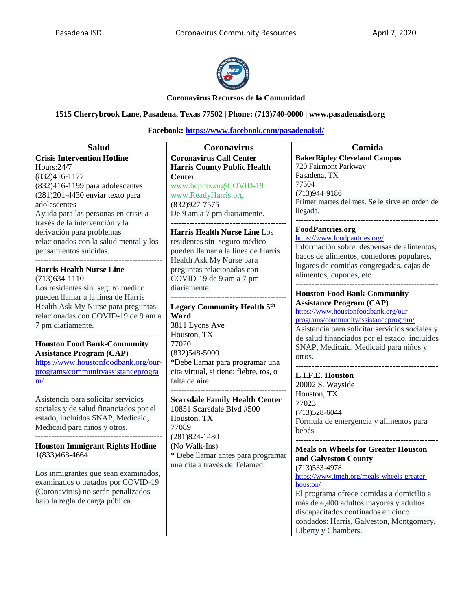

### **Coronavirus Recursos de la Comunidad**

### **1515 Cherrybrook Lane, Pasadena, Texas 77502 | Phone: (713)740-0000 | www.pasadenaisd.org**

| <b>Salud</b>                                                                | Coronavirus                                     | Comida                                                   |
|-----------------------------------------------------------------------------|-------------------------------------------------|----------------------------------------------------------|
| <b>Crisis Intervention Hotline</b>                                          | <b>Coronavirus Call Center</b>                  | <b>BakerRipley Cleveland Campus</b>                      |
| Hours:24/7                                                                  | <b>Harris County Public Health</b>              | 720 Fairmont Parkway                                     |
| $(832)416 - 1177$                                                           | <b>Center</b>                                   | Pasadena, TX                                             |
| $(832)416-1199$ para adolescentes                                           | www.hcphtx.org\COVID-19                         | 77504                                                    |
| (281) 201-4430 enviar texto para                                            | www.ReadyHarris.org                             | $(713)944-9186$                                          |
| adolescentes                                                                | $(832)927 - 7575$                               | Primer martes del mes. Se le sirve en orden de           |
| Ayuda para las personas en crisis a                                         | De 9 am a 7 pm diariamente.                     | llegada.                                                 |
| través de la intervención y la                                              | <u> 1989 - Andrea Albert III, martin alderd</u> |                                                          |
| derivación para problemas                                                   | <b>Harris Health Nurse Line Los</b>             | <b>FoodPantries.org</b><br>https://www.foodpantries.org/ |
| relacionados con la salud mental y los                                      | residentes sin seguro médico                    | Información sobre: despensas de alimentos,               |
| pensamientos suicidas.                                                      | pueden llamar a la línea de Harris              | bacos de alimentos, comedores populares,                 |
|                                                                             | Health Ask My Nurse para                        | lugares de comidas congregadas, cajas de                 |
| <b>Harris Health Nurse Line</b>                                             | preguntas relacionadas con                      | alimentos, cupones, etc.                                 |
| $(713)634 - 1110$                                                           | COVID-19 de 9 am a 7 pm                         | __________________________                               |
| Los residentes sin seguro médico                                            | diariamente.                                    | <b>Houston Food Bank-Community</b>                       |
| pueden llamar a la línea de Harris                                          |                                                 | <b>Assistance Program (CAP)</b>                          |
| Health Ask My Nurse para preguntas                                          | <b>Legacy Community Health 5th</b>              | https://www.houstonfoodbank.org/our-                     |
| relacionadas con COVID-19 de 9 am a                                         | Ward                                            | programs/communityassistanceprogram/                     |
| 7 pm diariamente.                                                           | 3811 Lyons Ave                                  | Asistencia para solicitar servicios sociales y           |
|                                                                             | Houston, TX                                     | de salud financiados por el estado, incluidos            |
| <b>Houston Food Bank-Community</b>                                          | 77020                                           | SNAP, Medicaid, Medicaid para niños y                    |
| <b>Assistance Program (CAP)</b>                                             | $(832)548 - 5000$                               | otros.                                                   |
| https://www.houstonfoodbank.org/our-                                        | *Debe llamar para programar una                 |                                                          |
| programs/communityassistanceprogra                                          | cita virtual, si tiene: fiebre, tos, o          | L.I.F.E. Houston                                         |
| m/                                                                          | falta de aire.                                  | 20002 S. Wayside                                         |
|                                                                             |                                                 | Houston, TX                                              |
| Asistencia para solicitar servicios                                         | <b>Scarsdale Family Health Center</b>           | 77023                                                    |
| sociales y de salud financiados por el<br>estado, incluidos SNAP, Medicaid, | 10851 Scarsdale Blvd #500                       | $(713)528-6044$                                          |
| Medicaid para niños y otros.                                                | Houston, TX<br>77089                            | Fórmula de emergencia y alimentos para                   |
|                                                                             | $(281)824 - 1480$                               | bebés.                                                   |
| <b>Houston Immigrant Rights Hotline</b>                                     | (No Walk-Ins)                                   |                                                          |
| 1(833)468-4664                                                              | * Debe llamar antes para programar              | <b>Meals on Wheels for Greater Houston</b>               |
|                                                                             | una cita a través de Telamed.                   | and Galveston County                                     |
| Los inmigrantes que sean examinados,                                        |                                                 | $(713)533-4978$                                          |
| examinados o tratados por COVID-19                                          |                                                 | https://www.imgh.org/meals-wheels-greater-               |
| (Coronavirus) no serán penalizados                                          |                                                 | houston/<br>El programa ofrece comidas a domicilio a     |
| bajo la regla de carga pública.                                             |                                                 | más de 4,400 adultos mayores y adultos                   |
|                                                                             |                                                 | discapacitados confinados en cinco                       |
|                                                                             |                                                 | condados: Harris, Galveston, Montgomery,                 |
|                                                                             |                                                 | Liberty y Chambers.                                      |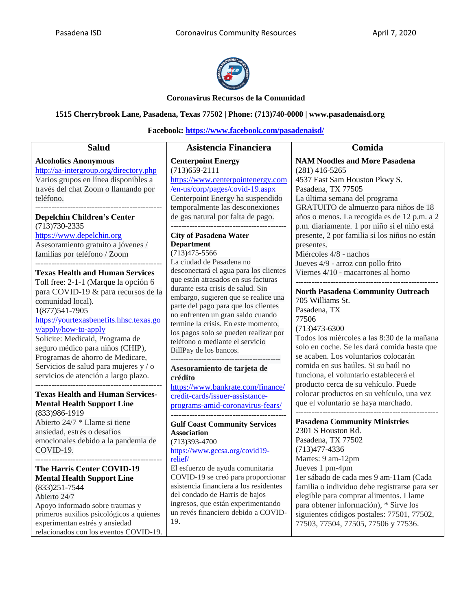

### **Coronavirus Recursos de la Comunidad**

## **1515 Cherrybrook Lane, Pasadena, Texas 77502 | Phone: (713)740-0000 | www.pasadenaisd.org**

| <b>Salud</b>                                                                                                                                                                                                                                                                                    | Asistencia Financiera                                                                                                                                                                                                                                                                                       | Comida                                                                                                                                                                                                                                                                                                                                                  |
|-------------------------------------------------------------------------------------------------------------------------------------------------------------------------------------------------------------------------------------------------------------------------------------------------|-------------------------------------------------------------------------------------------------------------------------------------------------------------------------------------------------------------------------------------------------------------------------------------------------------------|---------------------------------------------------------------------------------------------------------------------------------------------------------------------------------------------------------------------------------------------------------------------------------------------------------------------------------------------------------|
| <b>Alcoholics Anonymous</b><br>http://aa-intergroup.org/directory.php<br>Varios grupos en línea disponibles a<br>través del chat Zoom o llamando por<br>teléfono.<br><b>Depelchin Children's Center</b><br>$(713)730 - 2335$<br>https://www.depelchin.org<br>Asesoramiento gratuito a jóvenes / | <b>Centerpoint Energy</b><br>$(713)659-2111$<br>https://www.centerpointenergy.com<br>/en-us/corp/pages/covid-19.aspx<br>Centerpoint Energy ha suspendido<br>temporalmente las desconexiones<br>de gas natural por falta de pago.<br><b>City of Pasadena Water</b><br><b>Department</b><br>$(713)475 - 5566$ | <b>NAM Noodles and More Pasadena</b><br>$(281)$ 416-5265<br>4537 East Sam Houston Pkwy S.<br>Pasadena, TX 77505<br>La última semana del programa<br>GRATUITO de almuerzo para niños de 18<br>años o menos. La recogida es de 12 p.m. a 2<br>p.m. diariamente. 1 por niño si el niño está<br>presente, 2 por familia si los niños no están<br>presentes. |
| familias por teléfono / Zoom<br><b>Texas Health and Human Services</b><br>Toll free: 2-1-1 (Marque la opción 6<br>para COVID-19 & para recursos de la                                                                                                                                           | La ciudad de Pasadena no<br>desconectará el agua para los clientes<br>que están atrasados en sus facturas<br>durante esta crisis de salud. Sin                                                                                                                                                              | Miércoles 4/8 - nachos<br>Jueves 4/9 - arroz con pollo frito<br>Viernes 4/10 - macarrones al horno<br><b>North Pasadena Community Outreach</b>                                                                                                                                                                                                          |
| comunidad local).<br>1(877) 541-7905<br>https://yourtexasbenefits.hhsc.texas.go<br>y/apply/how-to-apply<br>Solicite: Medicaid, Programa de<br>seguro médico para niños (CHIP),<br>Programas de ahorro de Medicare,                                                                              | embargo, sugieren que se realice una<br>parte del pago para que los clientes<br>no enfrenten un gran saldo cuando<br>termine la crisis. En este momento,<br>los pagos solo se pueden realizar por<br>teléfono o mediante el servicio<br>BillPay de los bancos.                                              | 705 Williams St.<br>Pasadena, TX<br>77506<br>$(713)473 - 6300$<br>Todos los miércoles a las 8:30 de la mañana<br>solo en coche. Se les dará comida hasta que<br>se acaben. Los voluntarios colocarán                                                                                                                                                    |
| Servicios de salud para mujeres y / o<br>servicios de atención a largo plazo.<br><b>Texas Health and Human Services-</b><br><b>Mental Health Support Line</b>                                                                                                                                   | Asesoramiento de tarjeta de<br>crédito<br>https://www.bankrate.com/finance/<br>credit-cards/issuer-assistance-<br>programs-amid-coronavirus-fears/                                                                                                                                                          | comida en sus baúles. Si su baúl no<br>funciona, el voluntario establecerá el<br>producto cerca de su vehículo. Puede<br>colocar productos en su vehículo, una vez<br>que el voluntario se haya marchado.                                                                                                                                               |
| (833) 986-1919<br>Abierto 24/7 * Llame si tiene<br>ansiedad, estrés o desafíos<br>emocionales debido a la pandemia de<br>COVID-19.                                                                                                                                                              | <b>Gulf Coast Community Services</b><br><b>Association</b><br>$(713)393 - 4700$<br>https://www.gccsa.org/covid19-<br>relief/                                                                                                                                                                                | <b>Pasadena Community Ministries</b><br>2301 S Houston Rd.<br>Pasadena, TX 77502<br>$(713)477 - 4336$<br>Martes: 9 am-12pm                                                                                                                                                                                                                              |
| The Harris Center COVID-19<br><b>Mental Health Support Line</b><br>$(833)251 - 7544$<br>Abierto 24/7<br>Apoyo informado sobre traumas y<br>primeros auxilios psicológicos a quienes<br>experimentan estrés y ansiedad<br>relacionados con los eventos COVID-19.                                 | El esfuerzo de ayuda comunitaria<br>COVID-19 se creó para proporcionar<br>asistencia financiera a los residentes<br>del condado de Harris de bajos<br>ingresos, que están experimentando<br>un revés financiero debido a COVID-<br>19.                                                                      | Jueves 1 pm-4pm<br>1er sábado de cada mes 9 am-11am (Cada<br>familia o individuo debe registrarse para ser<br>elegible para comprar alimentos. Llame<br>para obtener información), * Sirve los<br>siguientes códigos postales: 77501, 77502,<br>77503, 77504, 77505, 77506 y 77536.                                                                     |